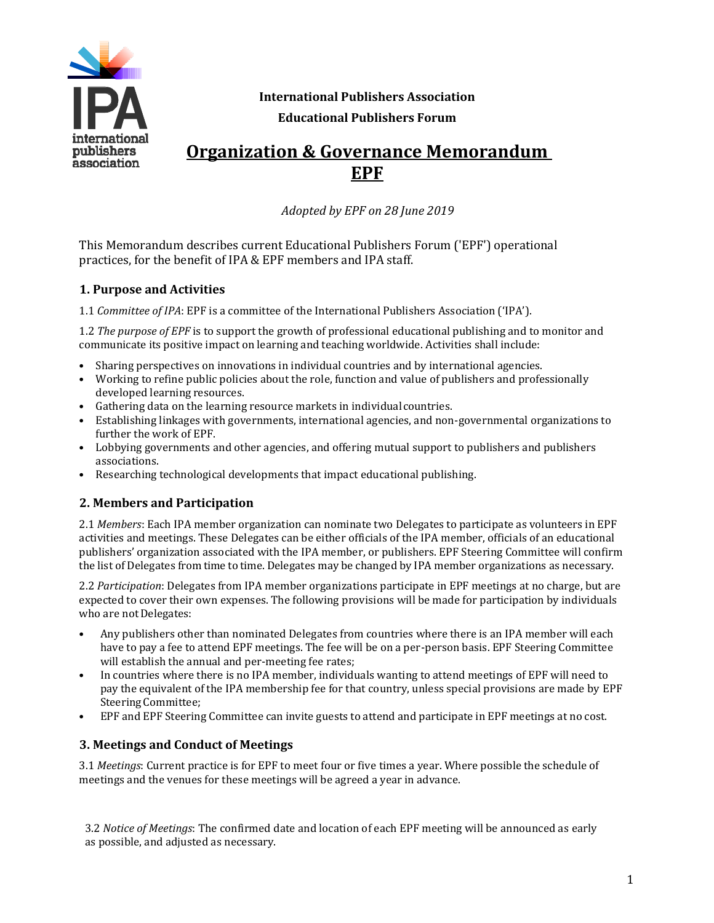

**International Publishers Association Educational Publishers Forum**

# **Organization & Governance Memorandum EPF**

*Adopted by EPF on 28 June 2019*

This Memorandum describes current Educational Publishers Forum ('EPF') operational practices, for the benefit of IPA & EPF members and IPA staff.

### **1. Purpose and Activities**

1.1 *Committee of IPA*: EPF is a committee of the International Publishers Association ('IPA').

1.2 *The purpose of EPF* is to support the growth of professional educational publishing and to monitor and communicate its positive impact on learning and teaching worldwide. Activities shall include:

- Sharing perspectives on innovations in individual countries and by international agencies.
- Working to refine public policies about the role, function and value of publishers and professionally developed learning resources.
- Gathering data on the learning resource markets in individualcountries.
- Establishing linkages with governments, international agencies, and non-governmental organizations to further the work of EPF.
- Lobbying governments and other agencies, and offering mutual support to publishers and publishers associations.
- Researching technological developments that impact educational publishing.

## **2. Members and Participation**

2.1 *Members*: Each IPA member organization can nominate two Delegates to participate as volunteers in EPF activities and meetings. These Delegates can be either officials of the IPA member, officials of an educational publishers' organization associated with the IPA member, or publishers. EPF Steering Committee will confirm the list of Delegates from time to time. Delegates may be changed by IPA member organizations as necessary.

2.2 *Participation*: Delegates from IPA member organizations participate in EPF meetings at no charge, but are expected to cover their own expenses. The following provisions will be made for participation by individuals who are not Delegates:

- Any publishers other than nominated Delegates from countries where there is an IPA member will each have to pay a fee to attend EPF meetings. The fee will be on a per-person basis. EPF Steering Committee will establish the annual and per-meeting fee rates;
- In countries where there is no IPA member, individuals wanting to attend meetings of EPF will need to pay the equivalent of the IPA membership fee for that country, unless special provisions are made by EPF Steering Committee;
- EPF and EPF Steering Committee can invite guests to attend and participate in EPF meetings at no cost.

#### **3. Meetings and Conduct of Meetings**

3.1 *Meetings*: Current practice is for EPF to meet four or five times a year. Where possible the schedule of meetings and the venues for these meetings will be agreed a year in advance.

3.2 *Notice of Meetings*: The confirmed date and location of each EPF meeting will be announced as early as possible, and adjusted as necessary.